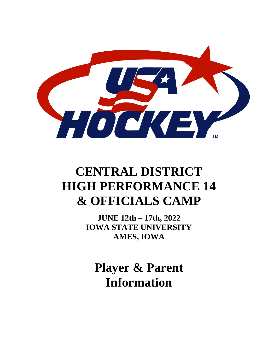

# **CENTRAL DISTRICT HIGH PERFORMANCE 14 & OFFICIALS CAMP**

**JUNE 12th – 17th, 2022 IOWA STATE UNIVERSITY AMES, IOWA**

**Player & Parent Information**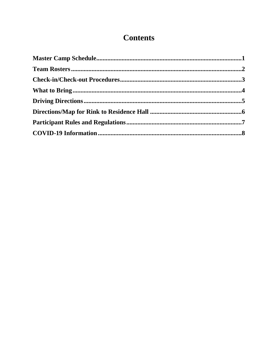# **Contents**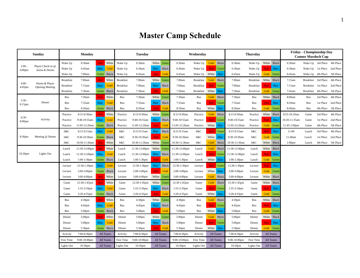# **Master Camp Schedule**

<span id="page-2-0"></span>

|                                | Sunday                                    |                   | <b>Monday</b>      |             |              |                   | <b>Tuesday</b>      |            |              |                    | Wednesday         |                  |              |                    | <b>Thursday</b>  |       |             |                    | <b>Friday - Championship Day</b><br><b>Connor Murdoch Cup</b> |           |                             |
|--------------------------------|-------------------------------------------|-------------------|--------------------|-------------|--------------|-------------------|---------------------|------------|--------------|--------------------|-------------------|------------------|--------------|--------------------|------------------|-------|-------------|--------------------|---------------------------------------------------------------|-----------|-----------------------------|
|                                |                                           | Wake Up           | 6:30am             | Red         | White        | Wake Up           | 6:30am              | White      | Green        | 6:30am             | Wake Up           |                  | Gold Black   | 6:30am             | Wake Up          |       | White Black | 6:30am             |                                                               |           | Wake Up 3rd Place 4th Place |
| $2:00 -$<br>4:00 <sub>pm</sub> | Player Check-in @<br>Arena & Dorms        | Wake Up           | 6:45am             | <b>Blue</b> | Gold         | Wake Up           | 6:30am              | Blue       | Black        | 6:30am             | Wake Up           | Red              | Green        | 6:30am             | Wake Up          | Red   | Blue        | 6:30am             |                                                               |           | Wake Up 1st Place 2nd Place |
|                                |                                           | Wake Up           | 7:00am             | Green       | Black        | Wake Up           | 6:45am              | Red        | Gold         | 6:45am             | Wake Up           | White            | <b>Blue</b>  | 6:45am             | Wake Up          | Gold  | Green       | 6:45am             | Wake Up                                                       | 4th Place | 5th Place                   |
|                                |                                           | <b>Breakfast</b>  | 7:00am             | Red         | White        | <b>Breakfast</b>  | 7:00am              | White      | Green        | 7:00am             | <b>Breakfast</b>  |                  | Gold Black   | 7:00am             | <b>Breakfast</b> |       | White Black | 7:15am             | Breakfast                                                     | 3rd Place | 4th Place                   |
| $4:00 -$<br>4:45pm             | Parent & Player<br><b>Opening Meeting</b> | <b>Breakfast</b>  | 7:15am             | Blue        | Gold         | <b>Breakfast</b>  | 7:00am              | Blue       | Black        | 7:00am             | <b>Breakfast</b>  |                  | Red Green    | 7:00am             | <b>Breakfast</b> | Red   | <b>Blue</b> | 7:15am             | <b>Breakfast</b>                                              | 1st Place | 2nd Place                   |
|                                |                                           | <b>Breakfast</b>  | 7:30am             | Green       | Black        | <b>Breakfast</b>  | 7:30am              | Red        | Gold         | 7:30am             | <b>Breakfast</b>  | White            | <b>Blue</b>  | 7:30am             | <b>Breakfast</b> | Gold  | Green       | 7:45am             | <b>Breakfast</b>                                              | 4th Place | 5th Place                   |
| $5:30 -$                       |                                           | <b>Bus</b>        | 7:30am             | Red         | White        | <b>Bus</b>        | 7:30am              | White      | Green        | 7:30am             | Bus               |                  | Gold Black   | 7:30am             | <b>Bus</b>       |       | White Black | 8:00am             | <b>Bus</b>                                                    | 3rd Place | 4th Place                   |
| $6:15$ pm                      | Dinner                                    | Bus               | 7:55am             | <b>Blue</b> | Gold         | Bus               | 7:55am              | Blue       | Black        | 7:55am             | Bus               | Red              | Green        | 7:55am             | <b>Bus</b>       | Red   | <b>Blue</b> | 8:20am             | <b>Bus</b>                                                    |           | 1st Place 2nd Place         |
|                                |                                           | <b>Bus</b>        | 8:20am             | Green       | Black        | <b>Bus</b>        | 8:20am              | <b>Red</b> | Gold         | 8:20am             | Bus               | White            | <b>Blue</b>  | 8:20am             | <b>Bus</b>       | Gold  | Green       | 8:40am             | <b>Bus</b>                                                    |           | 4th Place 5th Place         |
| $6:30 -$                       |                                           | Practice          | 8:15-9:30am        | Red         | White        | Practice          | 8:15-9:30am         | White      | Greer        | 8:15-9:30am        | Practice          | Gold             | Black        | 8:15-9:30am        | Practice         |       | White Black | 8:55-10:10am       | Game                                                          | 3rd Place | 4th Place                   |
| 8:00 <sub>pm</sub>             | Activity                                  | Practice          | 9:40-10:55am       | <b>Blue</b> | Gold         | Practice          | 9:40-10:55am        | Blue       | <b>Black</b> | 9:40-10:55am       | Practice          | <b>Red</b>       | Green        | 9:40-10:55am       | Practice         | Red   | <b>Blue</b> | 10:20-11:35am      | Game                                                          | 1st Place | 2nd Place                   |
|                                |                                           | Practice          | 11:05-12:20am      | Green       | Black        | Practice          | 11:05-12:20am       | <b>Red</b> | Gold         | 11:05-12:20am      | Practice          | White            | <b>Blue</b>  | 11:05-12:20am      | Practice         | Gold  | Green       | 11:45-1:00pm       | Game                                                          | 4th Place | 5th Place                   |
|                                |                                           | S&C               | 8:15-9:15am        | <b>Blue</b> | Gold         | S&C               | 8:15-9:15am         | Blue       | <b>Black</b> | 8:15-9:15am        | S&C               |                  | Red Green    | 8:15-9:15am        | S&C              | Red   | Blue        | 11:00              | Lunch                                                         | 3rd Place | 4th Place                   |
| 8:30pm                         | Meeting @ Dorms                           | S&C               | 9:30-10:30am       | Green       | <b>Black</b> | S&C               | 9:30-10:30am        | Red        | Gold         | 9:30-10:30am       | S&C               | White            | <b>Blue</b>  | 9:30-10:30am       | S&C              | Gold  | Green       | 11:40am            | Lunch                                                         | 1st Place | 2nd Place                   |
|                                |                                           | S&C               | 10:30-11:30am      | Red         | White        | S&C               | 10:30-11:30am       | White      | Green        | 10:30-11:30am      | S&C               |                  | Gold Black   | 10:30-11:30am      | S&C              | White | Black       | 1:00 <sub>pm</sub> | Lunch                                                         |           | 4th Place 5th Place         |
|                                |                                           | Lunch             | 11:30-12:00pm      | <b>Red</b>  | White        | Lunch             | 11:30-12:00pm       | White      | Green        | 11:30-12:00pm      | Lunch             |                  | Gold Black   | 11:30-12:00pm      | Lunch            |       | White Black |                    |                                                               |           |                             |
| 10:30pm                        | Lights Out                                | Lunch             | 11:30-12:00pm      | <b>Blue</b> | Gold         | Lunch             | 11:30-12:00pm       | Blue       | Black        | 11:30-12:00pm      | Lunch             | <b>Red</b>       | Green        | 11:30-12:00pm      | Lunch            | Red   | Blue        |                    |                                                               |           |                             |
|                                |                                           | Lunch             | 1:00-1:30pm        | Green       | <b>Black</b> | Lunch             | $1:00-1:30$ pm      | Red        | Gold         | $1:00-1:30$ pm     | Lunch             | White            | <b>B</b> lue | $1:00-1:30$ pm     | Lunch            | Gold  | Green       |                    |                                                               |           |                             |
|                                |                                           | Lecture           | 12:30-1:30pm       | <b>Blue</b> | Gold         | Lecture           | 12:30-1:30pm        | Blue       | <b>Black</b> | 12:30-1:30pm       | Lecture           | Red              | Green        | 12:30-1:30pm       | Lecture          | Red   | <b>Blue</b> |                    |                                                               |           |                             |
|                                |                                           | Lecture           | $2:00-3:00$ pm     | Green       | Black        | Lecture           | 2:00-3:00pm         | <b>Red</b> | Gold         | 2:00-3:00pm        | Lecture           | White            | <b>Blue</b>  | $2:00-3:00$ pm     | Lecture          | Gold  | Green       |                    |                                                               |           |                             |
|                                |                                           | Lecture           | $3:00-4:00$ pm     | <b>Red</b>  | White        | Lecture           | 3:00-4:00pm         | White      | Green        | 3:00-4:00pm        | Lecture           |                  | Gold Black   | $3:00-4:00$ pm     | Lecture          |       | White Black |                    |                                                               |           |                             |
|                                |                                           | Game              | 12:30-1:45pm       | Red         | White        | Game              | 12:30-1:45pm        | White      | Green        | 12:30-1:45pm       | Game              |                  | Gold Black   | 12:30-1:45pm       | Game             |       | White Black |                    |                                                               |           |                             |
|                                |                                           | Game              | 1:55-3:10pm        | <b>Blue</b> | Gold         | Game              | 1:55-3:10pm         | Blue       | <b>Black</b> | $1:55-3:10$ pm     | Game              | <b>Red</b>       | Green        | 1:55-3:10pm        | Game             | Red   | <b>Blue</b> |                    |                                                               |           |                             |
|                                |                                           | Game              | 3:20-4:35pm        | Green       | Black        | Game              | 3:20-4:35pm         | Red        | Gold         | 3:20-4:35pm        | Game              | White            | <b>Blue</b>  | 3:20-4:35pm        | Game             | Gold  | Green       |                    |                                                               |           |                             |
|                                |                                           | <b>Bus</b>        | 4:30 <sub>pm</sub> | Red         | White        | <b>Bus</b>        | 4:30 <sub>pm</sub>  | White      | Greer        | 4:30 <sub>pm</sub> | Bus               | Gold             | Black        | 4:30 <sub>pm</sub> | <b>Bus</b>       |       | White Black |                    |                                                               |           |                             |
|                                |                                           | <b>Bus</b>        | 4:45pm             | Blue        | Gold         | Bus               | 4:45pm              | Blue       | Black        | 4:45pm             | Bus               | Red <sub>1</sub> | Green        | 4:45pm             | <b>Bus</b>       | Red   | <b>Blue</b> |                    |                                                               |           |                             |
|                                |                                           | <b>Bus</b>        | 5:00pm             | Green       | Black        | Bus               | 5:00pm              | <b>Red</b> | Gold         | $5:00$ pm          | Bus               | White            | <b>Blue</b>  | $5:00$ pm          | <b>Bus</b>       | Gold  | Green       |                    |                                                               |           |                             |
|                                |                                           | Dinner            | 5:00 <sub>pm</sub> | Red         | White        | Dinner            | 5:00 <sub>pm</sub>  | White      | Green        | 5:00 <sub>pm</sub> | Dinner            |                  | Gold Black   | $5:00 \text{pm}$   | Dinner           |       | White Black |                    |                                                               |           |                             |
|                                |                                           | Dinner            | 5:00pm             | <b>Blue</b> | Gold         | Dinner            | 5:00pm              | Blue       | Black        | 5:00pm             | Dinner            | Red <sub>1</sub> | Green        | 5:00pm             | Dinner           | Red   | <b>Blue</b> |                    |                                                               |           |                             |
|                                |                                           | Dinner            | 5:30pm             | Green       | Black        | Dinner            | 5:30pm              | Red        | Gold         | 5:30pm             | Dinner            | White            | <b>Blue</b>  | 5:30pm             | Dinner           |       | Gold Green  |                    |                                                               |           |                             |
|                                |                                           | Activity          | 7:00-8:30pm        |             | All Teams    | Activity          | 7:00-8:30pm         |            | All Teams    | 7:00-8:30pm        | Activity          |                  | All Teams    | 7:00-8:30pm        | Activity         |       | All Teams   |                    |                                                               |           |                             |
|                                |                                           | Free Time         | 9:00-10:00pm       |             | All Teams    | Free Time         | $9:00-10:00$ pm     |            | All Teams    | $9:00-10:00$ pm    | Free Time         |                  | All Teams    | $9:00-10:00$ pm    | Free Time        |       | All Teams   |                    |                                                               |           |                             |
|                                |                                           | <b>Lights Out</b> | 10:30pm            |             | All Teams    | <b>Lights Out</b> | 10:30 <sub>pm</sub> |            | All Teams    | 10:30pm            | <b>Lights Out</b> |                  | All Teams    | 10:30pm            | Lights Out       |       | All Teams   |                    |                                                               |           |                             |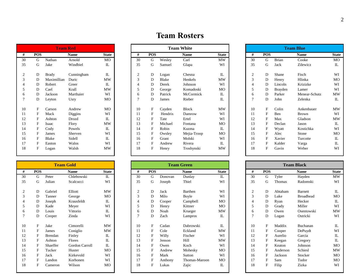|                |            | <b>Team Red</b> |             |              |
|----------------|------------|-----------------|-------------|--------------|
| #              | <b>POS</b> |                 | <b>Name</b> | <b>State</b> |
| 30             | G          | Nathan          | Arnold      | MO           |
| 35             | G          | Jake            | Windbiel    | Π.           |
|                |            |                 |             |              |
| 2              | D          | Brady           | Cunningham  | IL           |
| 3              | D          | Maximillian     | Duric       | <b>MW</b>    |
| $\overline{4}$ | D          | Robert          | Greer       | П.           |
| 5              | D          | Cael            | Krall       | <b>MW</b>    |
| 6              | D          | Jackson         | Marthaier   | WI           |
| 7              | D          | Leyton          | Usry        | MO           |
|                |            |                 |             |              |
| 10             | F          | Carson          | Andrew      | MO           |
| 11             | F          | Mack            | Diggins     | WI           |
| 12             | F          | Ashton          | Drozd       | $\Pi$ .      |
| 13             | F          | <b>Isaac</b>    | Flory       | <b>MW</b>    |
| 14             | F          | Cody            | Powels      | IL           |
| 15             | F          | James           | Sherven     | WI           |
| 16             | F          | Blake           | Sidell      | Π.           |
| 17             | F          | Easton          | Walos       | WI           |
| 18             | F          | Logan           | Walsh       | MW           |
|                |            |                 |             |              |

|    |            |                | <b>Team Gold</b> |              |
|----|------------|----------------|------------------|--------------|
| #  | <b>POS</b> |                | <b>Name</b>      | <b>State</b> |
| 30 | G          | Peter          | Chlebowski       | IL           |
| 35 | G          | Julian         | Scalcucci        | WI           |
|    |            |                |                  |              |
| 2  | D          | Gabriel        | Elliott          | <b>MW</b>    |
| 3  | D          | Tanner         | George           | MO           |
| 4  | D          | Joseph         | Krausfeldt       | $\Pi$ .      |
| 5  | D          | Kade           | Meyer            | WI           |
| 6  | D          | Louis          | Vittorio         | Π.           |
| 7  | D          | Cooper         | Zinda            | WI           |
|    |            |                |                  |              |
| 10 | F          | Jake           | Cimorelli        | MW           |
| 11 | F          | James          | Coniglio         | MW           |
| 12 | F          | <b>Brendan</b> | Finley           | $\Pi$ .      |
| 13 | F          | Ashton         | Flores           | Π.           |
| 14 | F          | Shaeffer       | Gordon Carroll   | IL           |
| 15 | F          | Tucker         | Huster           | <b>MO</b>    |
| 16 | F          | Jack           | Kirkevold        | WI           |
| 17 | F          | Landon         | Korhonen         | WI           |
| 18 | F          | Cameron        | Wilson           | МO           |
|    |            |                |                  |              |

| <b>Team Red</b> |              |              |             |              |  |
|-----------------|--------------|--------------|-------------|--------------|--|
| #               | <b>POS</b>   |              | <b>Name</b> | <b>State</b> |  |
| 30              | G            | Nathan       | Arnold      | MO           |  |
| 35              | G            | Jake         | Windbiel    | IL           |  |
| $\overline{2}$  | D            | <b>Brady</b> | Cunningham  | IL           |  |
| 3               | D            | Maximillian  | Duric       | MW           |  |
| 4               | D            | Robert       | Greer       | IL           |  |
| 5               | D            | Cael         | Krall       | <b>MW</b>    |  |
| 6               | D            | Jackson      | Marthaier   | WI           |  |
| 7               | D            | Leyton       | Usry        | MO           |  |
| 10              | F            | Carson       | Andrew      | MO           |  |
| 11              | F            | Mack         | Diggins     | WI           |  |
| 12              | F            | Ashton       | Drozd       | IL           |  |
| 13              | $\mathbf{F}$ | Isaac        | Flory       | <b>MW</b>    |  |
| 14              |              | Cody         | Powels      | IL           |  |
| 15              | F            | James        | Sherven     | WI           |  |
| 16              | F            | Blake        | Sidell      | IL           |  |
| 17              | F            | Easton       | Walos       | WI           |  |
| 18              | F            | Logan        | Walsh       | <b>MW</b>    |  |

<span id="page-3-0"></span>

|    |            |                | <b>Team Gold</b> |              |                |             |         | <b>Team Green</b> |              |              |            |          | <b>Team Black</b> |               |
|----|------------|----------------|------------------|--------------|----------------|-------------|---------|-------------------|--------------|--------------|------------|----------|-------------------|---------------|
| #  | <b>POS</b> |                | Name             | <b>State</b> | #              | <b>POS</b>  |         | <b>Name</b>       | <b>State</b> | #            | <b>POS</b> |          | <b>Name</b>       | <b>State</b>  |
| 30 | G          | Peter          | Chlebowski       | IL           | 30             | G           | Donovan | Dunlay            | $\mathbf{L}$ | 30           | G          | Tyler    | Hayden            | <b>MW</b>     |
| 35 | G          | Julian         | Scalcucci        | WI           | 35             | G           | Joseph  | Thiel             | WI           | 35           | G          | Thomas   | Radomski          | WI            |
| 2  | D          | Gabriel        | Elliott          | <b>MW</b>    | $\overline{2}$ | D           | Jack    | Barthen           | WI           | 2            | D          | Abtaham  | Barnett           | $\mathbbm{L}$ |
| 3  | D          | Tanner         | George           | MO           | 3              | D           | Milo    | Boyle             | WI           | 3            | D          | Luke     | <b>Broadhead</b>  | <b>MO</b>     |
| 4  | D          | Joseph         | Krausfeldt       | IL           |                | D           | Cooper  | Campbell          | MO           |              | D          | Ryan     | Hecker            | $\rm I\!L$    |
| 5  | D          | Kade           | Meyer            | WI           | 5              | D           | Henry   | Kittner           | MO           | 5            | D          | Grady    | Miller            | WI            |
| 6  | D          | Louis          | Vittorio         | IL           | 6              | D           | Noah    | Krueger           | <b>MW</b>    | 6            | D          | Owen     | Osentowski        | <b>MW</b>     |
| 7  | D          | Cooper         | Zinda            | WI           |                | D           | Zach    | Lampros           | IL           | $\mathbf{r}$ | D          | Logan    | Ostricki          | WI            |
| 10 | F          | Jake           | Cimorelli        | <b>MW</b>    | 10             | F           | Cadan   | Dabrowski         | $\mathbf{L}$ | 10           | F          | Maddix   | Buchanan          | $\rm I\!L$    |
| 11 | F          | James          | Coniglio         | <b>MW</b>    | 11             | $_{\rm F}$  | Cole    | Eckland           | <b>MW</b>    | 11           | F          | Cooper   | DePuydt           | WI            |
| 12 | F          | <b>Brendan</b> | Finley           | IL           | 12             | $_{\rm F}$  | Willy   | Fischer           | WI           | 12           | F          | Aurelio  | Garcia            | $\rm I\!L$    |
| 13 | F          | Ashton         | Flores           | IL           | 13             | $\mathbf F$ | Jenson  | Hill              | <b>MW</b>    | 13           | F          | Keegan   | Gregory           | $\mathbbm{L}$ |
| 14 | F          | Shaeffer       | Gordon Carroll   | IL           | 14             | F           | Owen    | Koch              | WI           | 14           | F          | Keaton   | Johnson           | MO            |
| 15 | F          | Tucker         | Huster           | MO           | 15             | $\mathbf F$ | Andrew  | Mohesky           | MO           | 15           | F          | Anderson | Schiesl           | <b>MW</b>     |
| 16 | F          | Jack           | Kirkevold        | WI           | 16             | $\mathbf F$ | Mark    | Sutton            | WI           | 16           | F          | Jackson  | Stocker           | MO            |
| 17 | F          | Landon         | Korhonen         | WI           | 17             | F           | Anthony | Thomas-Maroon     | MO           | 17           | $_{\rm F}$ | Sam      | Tudor             | <b>MO</b>     |
| 18 |            | Cameron        | Wilson           | MO           | 18             | F           | Lukas   | Zajic             | IL           | 18           | F          | Filip    | Zizka             | WI            |

| Vhite        |              |                |            |                | <b>Team Blue</b> |  |
|--------------|--------------|----------------|------------|----------------|------------------|--|
| <b>Name</b>  | <b>State</b> | #              | <b>POS</b> |                | <b>Name</b>      |  |
| Carl         | <b>MW</b>    | 30             | G          | <b>Brian</b>   | Cooke            |  |
| Glapa        | WI           | 35             | G          | Jack           | Zilewicz         |  |
| Chesna       | IL           | $\overline{2}$ | D          | Shane          | Fisch            |  |
| Henkels      | MW           | 3              | D          | Henry          | Hlinka           |  |
| Johnson      | WI           | $\overline{4}$ | D          | Lincoln        | Krizizke         |  |
| Komadoski    | MO           | 5              | D          | <b>Brayden</b> | Lamer            |  |
| McCormick    | IL           | 6              | D          | Parker         | Menear-Schutz    |  |
| Rieber       | IL           | 7              | D          | John           | Zelenka          |  |
| <b>Block</b> | MW           | 10             | F          | Colin          | Ankenbauer       |  |
| Damrow       | WI           | 11             | F          | Ben            | <b>Brown</b>     |  |
| Ertel        | WI           | 12             | F          | Max            | Gladson          |  |
| Fontana      | MO           | 13             | F          | Declan         | Jason            |  |
| Kuzma        | IL           | 14             | F          | Wyatt          | Kostichka        |  |
| Mejia-Troop  | MO           | 15             | F          | Alec           | Stone            |  |
| Molski       | WI           | 16             | F          | Xavier         | Turcotte         |  |
| Rivera       | IL           | 17             | F          | Kalder         | Varga            |  |
| Troshynski   | MW           | 18             | F          | Gavin          | Weber            |  |

| reen.         |              |                |              |          | <b>Team Black</b> |  |
|---------------|--------------|----------------|--------------|----------|-------------------|--|
| Name          | <b>State</b> | #              | <b>POS</b>   |          | <b>Name</b>       |  |
| Dunlay        | $_{\rm IL}$  | 30             | G            | Tyler    | Hayden            |  |
| Thiel         | WI           | 35             | G            | Thomas   | Radomski          |  |
| Barthen       | WI           | $\overline{2}$ | D            | Abtaham  | <b>Barnett</b>    |  |
| Boyle         | WI           | 3              | D            | Luke     | <b>Broadhead</b>  |  |
| Campbell      | MO           | 4              | D            | Ryan     | Hecker            |  |
| Kittner       | MO           | 5              | D            | Grady    | Miller            |  |
| Krueger       | <b>MW</b>    | 6              | D            | Owen     | Osentowski        |  |
| Lampros       | $_{\rm IL}$  | 7              | D            | Logan    | Ostricki          |  |
| Dabrowski     | IL           | 10             | F            | Maddix   | Buchanan          |  |
| Eckland       | MW           | 11             | F            | Cooper   | DePuydt           |  |
| Fischer       | WI           | 12             | F            | Aurelio  | Garcia            |  |
| Hill          | <b>MW</b>    | 13             | F            | Keegan   | Gregory           |  |
| Koch          | WI           | 14             | F            | Keaton   | Johnson           |  |
| Mohesky       | MO           | 15             | F            | Anderson | Schiesl           |  |
| Sutton        | WI           | 16             | F            | Jackson  | Stocker           |  |
| Thomas-Maroon | MO           | 17             | F            | Sam      | Tudor             |  |
| Zajic         | IL           | 18             | $\mathbf{F}$ | Filip    | Zizka             |  |

# **Team Rosters**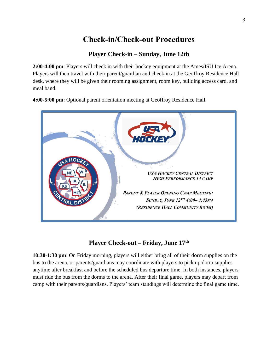# **Check-in/Check-out Procedures**

#### **Player Check-in – Sunday, June 12th**

<span id="page-4-0"></span>**2:00-4:00 pm**: Players will check in with their hockey equipment at the Ames/ISU Ice Arena. Players will then travel with their parent/guardian and check in at the Geoffroy Residence Hall desk, where they will be given their rooming assignment, room key, building access card, and meal band.

**4:00-5:00 pm**: Optional parent orientation meeting at Geoffroy Residence Hall.



#### **Player Check-out – Friday, June 17th**

**10:30-1:30 pm**: On Friday morning, players will either bring all of their dorm supplies on the bus to the arena, or parents/guardians may coordinate with players to pick up dorm supplies anytime after breakfast and before the scheduled bus departure time. In both instances, players must ride the bus from the dorms to the arena. After their final game, players may depart from camp with their parents/guardians. Players' team standings will determine the final game time.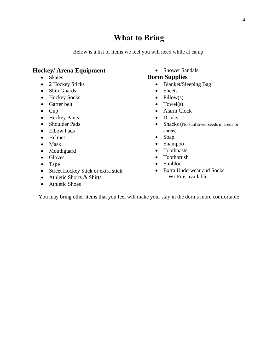### **What to Bring**

Below is a list of items we feel you will need while at camp.

#### <span id="page-5-0"></span>**Hockey/ Arena Equipment**

- Skates
- 2 Hockey Sticks
- Shin Guards
- Hockey Socks
- Garter belt
- Cup
- Hockey Pants
- Shoulder Pads
- Elbow Pads
- Helmet
- Mask
- Mouthguard
- Gloves
- Tape
- Street Hockey Stick or extra stick
- Athletic Shorts & Shirts
- Athletic Shoes

• Shower Sandals

#### **Dorm Supplies**

- Blanket/Sleeping Bag
- Sheets
- $\bullet$  Pillow(s)
- $\bullet$  Towel(s)
- Alarm Clock
- Drinks
- Snacks (No sunflower seeds in arena or dorms)
- Soap
- Shampoo
- Toothpaste
- Toothbrush
- Sunblock
- Extra Underwear and Socks
	- -- Wi-Fi is available

You may bring other items that you feel will make your stay in the dorms more comfortable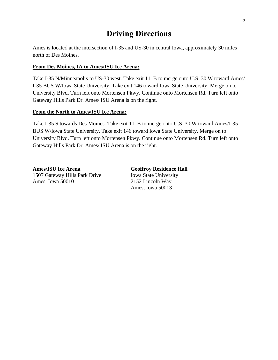# **Driving Directions**

<span id="page-6-0"></span>Ames is located at the intersection of I-35 and US-30 in central Iowa, approximately 30 miles north of Des Moines.

#### **From Des Moines, IA to Ames/ISU Ice Arena:**

Take I-35 N/Minneapolis to US-30 west. Take exit 111B to merge onto U.S. 30 W toward Ames/ I-35 BUS W/Iowa State University. Take exit 146 toward Iowa State University. Merge on to University Blvd. Turn left onto Mortensen Pkwy. Continue onto Mortensen Rd. Turn left onto Gateway Hills Park Dr. Ames/ ISU Arena is on the right.

#### **From the North to Ames/ISU Ice Arena:**

Take I-35 S towards Des Moines. Take exit 111B to merge onto U.S. 30 W toward Ames/I-35 BUS W/Iowa State University. Take exit 146 toward Iowa State University. Merge on to University Blvd. Turn left onto Mortensen Pkwy. Continue onto Mortensen Rd. Turn left onto Gateway Hills Park Dr. Ames/ ISU Arena is on the right.

**Ames/ISU Ice Arena Geoffroy Residence Hall** 1507 Gateway Hills Park Drive Iowa State University Ames, Iowa 50010 2152 Lincoln Way

Ames, Iowa 50013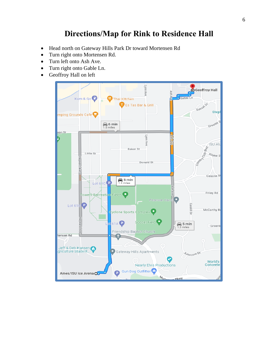## **Directions/Map for Rink to Residence Hall**

- <span id="page-7-0"></span>• Head north on Gateway Hills Park Dr toward Mortensen Rd
- Turn right onto Mortensen Rd.
- Turn left onto Ash Ave.
- Turn right onto Gable Ln.
- Geoffroy Hall on left

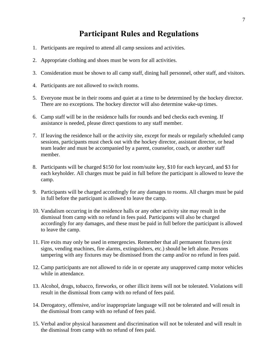## **Participant Rules and Regulations**

- <span id="page-8-0"></span>1. Participants are required to attend all camp sessions and activities.
- 2. Appropriate clothing and shoes must be worn for all activities.
- 3. Consideration must be shown to all camp staff, dining hall personnel, other staff, and visitors.
- 4. Participants are not allowed to switch rooms.
- 5. Everyone must be in their rooms and quiet at a time to be determined by the hockey director. There are no exceptions. The hockey director will also determine wake-up times.
- 6. Camp staff will be in the residence halls for rounds and bed checks each evening. If assistance is needed, please direct questions to any staff member.
- 7. If leaving the residence hall or the activity site, except for meals or regularly scheduled camp sessions, participants must check out with the hockey director, assistant director, or head team leader and must be accompanied by a parent, counselor, coach, or another staff member.
- 8. Participants will be charged \$150 for lost room/suite key, \$10 for each keycard, and \$3 for each keyholder. All charges must be paid in full before the participant is allowed to leave the camp.
- 9. Participants will be charged accordingly for any damages to rooms. All charges must be paid in full before the participant is allowed to leave the camp.
- 10. Vandalism occurring in the residence halls or any other activity site may result in the dismissal from camp with no refund in fees paid. Participants will also be charged accordingly for any damages, and these must be paid in full before the participant is allowed to leave the camp.
- 11. Fire exits may only be used in emergencies. Remember that all permanent fixtures (exit signs, vending machines, fire alarms, extinguishers, etc.) should be left alone. Persons tampering with any fixtures may be dismissed from the camp and/or no refund in fees paid.
- 12. Camp participants are not allowed to ride in or operate any unapproved camp motor vehicles while in attendance.
- 13. Alcohol, drugs, tobacco, fireworks, or other illicit items will not be tolerated. Violations will result in the dismissal from camp with no refund of fees paid.
- 14. Derogatory, offensive, and/or inappropriate language will not be tolerated and will result in the dismissal from camp with no refund of fees paid.
- 15. Verbal and/or physical harassment and discrimination will not be tolerated and will result in the dismissal from camp with no refund of fees paid.